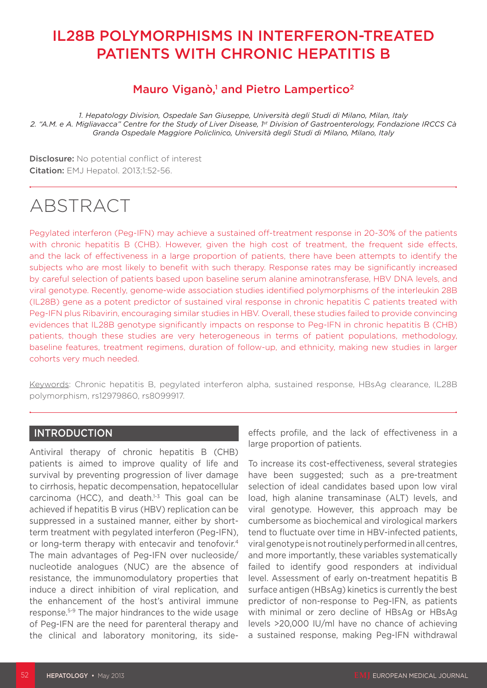## IL28B POLYMORPHISMS IN INTERFERON-TREATED PATIENTS WITH CHRONIC HEPATITIS B

### Mauro Viganò,<sup>1</sup> and Pietro Lampertico<sup>2</sup>

*1. Hepatology Division, Ospedale San Giuseppe, Università degli Studi di Milano, Milan, Italy 2. "A.M. e A. Migliavacca" Centre for the Study of Liver Disease, 1st Division of Gastroenterology, Fondazione IRCCS Cà Granda Ospedale Maggiore Policlinico, Università degli Studi di Milano, Milano, Italy*

Disclosure: No potential conflict of interest **Citation:** EMJ Hepatol. 2013;1:52-56.

# ABSTRACT

Pegylated interferon (Peg-IFN) may achieve a sustained off-treatment response in 20-30% of the patients with chronic hepatitis B (CHB). However, given the high cost of treatment, the frequent side effects, and the lack of effectiveness in a large proportion of patients, there have been attempts to identify the subjects who are most likely to benefit with such therapy. Response rates may be significantly increased by careful selection of patients based upon baseline serum alanine aminotransferase, HBV DNA levels, and viral genotype. Recently, genome-wide association studies identified polymorphisms of the interleukin 28B (IL28B) gene as a potent predictor of sustained viral response in chronic hepatitis C patients treated with Peg-IFN plus Ribavirin, encouraging similar studies in HBV. Overall, these studies failed to provide convincing evidences that IL28B genotype significantly impacts on response to Peg-IFN in chronic hepatitis B (CHB) patients, though these studies are very heterogeneous in terms of patient populations, methodology, baseline features, treatment regimens, duration of follow-up, and ethnicity, making new studies in larger cohorts very much needed.

Keywords: Chronic hepatitis B, pegylated interferon alpha, sustained response, HBsAg clearance, IL28B polymorphism, rs12979860, rs8099917.

#### **INTRODUCTION**

Antiviral therapy of chronic hepatitis B (CHB) patients is aimed to improve quality of life and survival by preventing progression of liver damage to cirrhosis, hepatic decompensation, hepatocellular carcinoma (HCC), and death. $1-3$  This goal can be achieved if hepatitis B virus (HBV) replication can be suppressed in a sustained manner, either by shortterm treatment with pegylated interferon (Peg-IFN), or long-term therapy with entecavir and tenofovir.<sup>4</sup> The main advantages of Peg-IFN over nucleoside/ nucleotide analogues (NUC) are the absence of resistance, the immunomodulatory properties that induce a direct inhibition of viral replication, and the enhancement of the host's antiviral immune response.5-9 The major hindrances to the wide usage of Peg-IFN are the need for parenteral therapy and the clinical and laboratory monitoring, its sideeffects profile, and the lack of effectiveness in a large proportion of patients.

To increase its cost-effectiveness, several strategies have been suggested; such as a pre-treatment selection of ideal candidates based upon low viral load, high alanine transaminase (ALT) levels, and viral genotype. However, this approach may be cumbersome as biochemical and virological markers tend to fluctuate over time in HBV-infected patients, viral genotype is not routinely performed in all centres, and more importantly, these variables systematically failed to identify good responders at individual level. Assessment of early on-treatment hepatitis B surface antigen (HBsAg) kinetics is currently the best predictor of non-response to Peg-IFN, as patients with minimal or zero decline of HBsAg or HBsAg levels >20,000 IU/ml have no chance of achieving a sustained response, making Peg-IFN withdrawal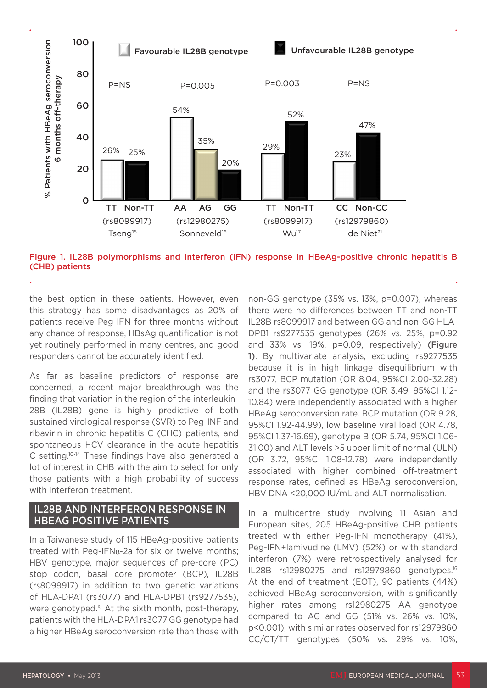

Figure 1. IL28B polymorphisms and interferon (IFN) response in HBeAg-positive chronic hepatitis B (CHB) patients

the best option in these patients. However, even this strategy has some disadvantages as 20% of patients receive Peg-IFN for three months without any chance of response, HBsAg quantification is not yet routinely performed in many centres, and good responders cannot be accurately identified.

As far as baseline predictors of response are concerned, a recent major breakthrough was the finding that variation in the region of the interleukin-28B (IL28B) gene is highly predictive of both sustained virological response (SVR) to Peg-INF and ribavirin in chronic hepatitis C (CHC) patients, and spontaneous HCV clearance in the acute hepatitis C setting.10-14 These findings have also generated a lot of interest in CHB with the aim to select for only those patients with a high probability of success with interferon treatment.

#### IL28B AND INTERFERON RESPONSE IN HBEAG POSITIVE PATIENTS

In a Taiwanese study of 115 HBeAg-positive patients treated with Peg-IFN $\alpha$ -2a for six or twelve months; HBV genotype, major sequences of pre-core (PC) stop codon, basal core promoter (BCP), IL28B (rs8099917) in addition to two genetic variations of HLA-DPA1 (rs3077) and HLA-DPB1 (rs9277535), were genotyped.<sup>15</sup> At the sixth month, post-therapy, patients with the HLA-DPA1 rs3077 GG genotype had a higher HBeAg seroconversion rate than those with

non-GG genotype (35% vs. 13%, p=0.007), whereas there were no differences between TT and non-TT IL28B rs8099917 and between GG and non-GG HLA-DPB1 rs9277535 genotypes (26% vs. 25%, p=0.92 and 33% vs. 19%, p=0.09, respectively) (Figure 1). By multivariate analysis, excluding rs9277535 because it is in high linkage disequilibrium with rs3077, BCP mutation (OR 8.04, 95%CI 2.00-32.28) and the rs3077 GG genotype (OR 3.49, 95%CI 1.12- 10.84) were independently associated with a higher HBeAg seroconversion rate. BCP mutation (OR 9.28, 95%CI 1.92-44.99), low baseline viral load (OR 4.78, 95%CI 1.37-16.69), genotype B (OR 5.74, 95%CI 1.06- 31.00) and ALT levels >5 upper limit of normal (ULN) (OR 3.72, 95%CI 1.08-12.78) were independently associated with higher combined off-treatment response rates, defined as HBeAg seroconversion, HBV DNA <20,000 IU/mL and ALT normalisation.

In a multicentre study involving 11 Asian and European sites, 205 HBeAg-positive CHB patients treated with either Peg-IFN monotherapy (41%), Peg-IFN+lamivudine (LMV) (52%) or with standard interferon (7%) were retrospectively analysed for IL28B rs12980275 and rs12979860 genotypes.16 At the end of treatment (EOT), 90 patients (44%) achieved HBeAg seroconversion, with significantly higher rates among rs12980275 AA genotype compared to AG and GG (51% vs. 26% vs. 10%, p<0.001), with similar rates observed for rs12979860 CC/CT/TT genotypes (50% vs. 29% vs. 10%,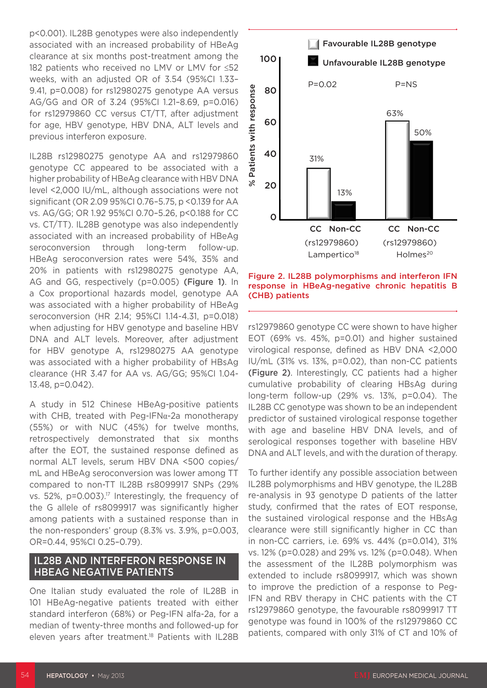p<0.001). IL28B genotypes were also independently associated with an increased probability of HBeAg clearance at six months post-treatment among the 182 patients who received no LMV or LMV for ≤52 weeks, with an adjusted OR of 3.54 (95%CI 1.33– 9.41, p=0.008) for rs12980275 genotype AA versus AG/GG and OR of 3.24 (95%CI 1.21–8.69, p=0.016) for rs12979860 CC versus CT/TT, after adjustment for age, HBV genotype, HBV DNA, ALT levels and previous interferon exposure.

IL28B rs12980275 genotype AA and rs12979860 genotype CC appeared to be associated with a higher probability of HBeAg clearance with HBV DNA level <2,000 IU/mL, although associations were not significant (OR 2.09 95%CI 0.76–5.75, p <0.139 for AA vs. AG/GG; OR 1.92 95%CI 0.70–5.26, p<0.188 for CC vs. CT/TT). IL28B genotype was also independently associated with an increased probability of HBeAg seroconversion through long-term follow-up. HBeAg seroconversion rates were 54%, 35% and 20% in patients with rs12980275 genotype AA, AG and GG, respectively (p=0.005) (Figure 1). In a Cox proportional hazards model, genotype AA was associated with a higher probability of HBeAg seroconversion (HR 2.14; 95%CI 1.14-4.31, p=0.018) when adjusting for HBV genotype and baseline HBV DNA and ALT levels. Moreover, after adjustment for HBV genotype A, rs12980275 AA genotype was associated with a higher probability of HBsAg clearance (HR 3.47 for AA vs. AG/GG; 95%CI 1.04- 13.48, p=0.042). \$4.4 produces of the state of the state of the state of the state of the state of the state of the state of the state of the state of the state of the state of the state of the state of the state of the state of the stat

A study in 512 Chinese HBeAg-positive patients with CHB, treated with Peg-IFNα-2a monotherapy (55%) or with NUC (45%) for twelve months, retrospectively demonstrated that six months after the EOT, the sustained response defined as normal ALT levels, serum HBV DNA <500 copies/ mL and HBeAg seroconversion was lower among TT compared to non-TT IL28B rs8099917 SNPs (29% vs. 52%, p=0.003).<sup>17</sup> Interestingly, the frequency of the G allele of rs8099917 was significantly higher among patients with a sustained response than in the non-responders' group (8.3% vs. 3.9%, p=0.003, OR=0.44, 95%CI 0.25–0.79).

#### IL28B AND INTERFERON RESPONSE IN HBEAG NEGATIVE PATIENTS

One Italian study evaluated the role of IL28B in 101 HBeAg-negative patients treated with either standard interferon (68%) or Peg-IFN alfa-2a, for a median of twenty-three months and followed-up for eleven years after treatment.<sup>18</sup> Patients with IL28B



Figure 2. IL28B polymorphisms and interferon IFN response in HBeAg-negative chronic hepatitis B (CHB) patients

rs12979860 genotype CC were shown to have higher EOT (69% vs. 45%, p=0.01) and higher sustained virological response, defined as HBV DNA <2,000 IU/mL (31% vs. 13%, p=0.02), than non-CC patients (Figure 2). Interestingly, CC patients had a higher cumulative probability of clearing HBsAg during long-term follow-up (29% vs. 13%, p=0.04). The IL28B CC genotype was shown to be an independent predictor of sustained virological response together with age and baseline HBV DNA levels, and of serological responses together with baseline HBV DNA and ALT levels, and with the duration of therapy.

To further identify any possible association between IL28B polymorphisms and HBV genotype, the IL28B re-analysis in 93 genotype D patients of the latter study, confirmed that the rates of EOT response, the sustained virological response and the HBsAg clearance were still significantly higher in CC than in non-CC carriers, i.e. 69% vs. 44% (p=0.014), 31% vs. 12% (p=0.028) and 29% vs. 12% (p=0.048). When the assessment of the IL28B polymorphism was extended to include rs8099917, which was shown to improve the prediction of a response to Peg-IFN and RBV therapy in CHC patients with the CT rs12979860 genotype, the favourable rs8099917 TT genotype was found in 100% of the rs12979860 CC patients, compared with only 31% of CT and 10% of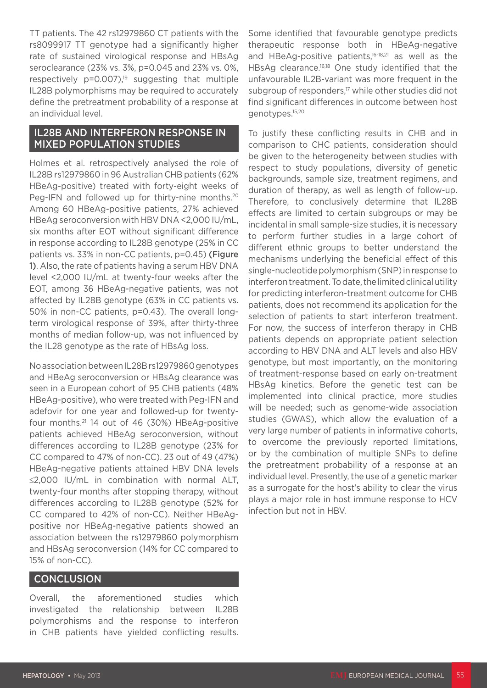TT patients. The 42 rs12979860 CT patients with the rs8099917 TT genotype had a significantly higher rate of sustained virological response and HBsAg seroclearance (23% vs. 3%, p=0.045 and 23% vs. 0%, respectively  $p=0.007$ ,<sup>19</sup> suggesting that multiple IL28B polymorphisms may be required to accurately define the pretreatment probability of a response at an individual level.

#### IL28B AND INTERFERON RESPONSE IN MIXED POPULATION STUDIES

Holmes et al. retrospectively analysed the role of IL28B rs12979860 in 96 Australian CHB patients (62% HBeAg-positive) treated with forty-eight weeks of Peg-IFN and followed up for thirty-nine months.<sup>20</sup> Among 60 HBeAg-positive patients, 27% achieved HBeAg seroconversion with HBV DNA <2,000 IU/mL, six months after EOT without significant difference in response according to IL28B genotype (25% in CC patients vs. 33% in non-CC patients, p=0.45) (Figure 1). Also, the rate of patients having a serum HBV DNA level <2,000 IU/mL at twenty-four weeks after the EOT, among 36 HBeAg-negative patients, was not affected by IL28B genotype (63% in CC patients vs. 50% in non-CC patients, p=0.43). The overall longterm virological response of 39%, after thirty-three months of median follow-up, was not influenced by the IL28 genotype as the rate of HBsAg loss.

No association between IL28B rs12979860 genotypes and HBeAg seroconversion or HBsAg clearance was seen in a European cohort of 95 CHB patients (48% HBeAg-positive), who were treated with Peg-IFN and adefovir for one year and followed-up for twentyfour months.21 14 out of 46 (30%) HBeAg-positive patients achieved HBeAg seroconversion, without differences according to IL28B genotype (23% for CC compared to 47% of non-CC). 23 out of 49 (47%) HBeAg-negative patients attained HBV DNA levels ≤2,000 IU/mL in combination with normal ALT, twenty-four months after stopping therapy, without differences according to IL28B genotype (52% for CC compared to 42% of non-CC). Neither HBeAgpositive nor HBeAg-negative patients showed an association between the rs12979860 polymorphism and HBsAg seroconversion (14% for CC compared to 15% of non-CC).

#### **CONCLUSION**

Overall, the aforementioned studies which investigated the relationship between IL28B polymorphisms and the response to interferon in CHB patients have yielded conflicting results. Some identified that favourable genotype predicts therapeutic response both in HBeAg-negative and HBeAg-positive patients,<sup>16-18,21</sup> as well as the HBsAg clearance.16,18 One study identified that the unfavourable IL2B-variant was more frequent in the subgroup of responders,<sup>17</sup> while other studies did not find significant differences in outcome between host genotypes.15,20

To justify these conflicting results in CHB and in comparison to CHC patients, consideration should be given to the heterogeneity between studies with respect to study populations, diversity of genetic backgrounds, sample size, treatment regimens, and duration of therapy, as well as length of follow-up. Therefore, to conclusively determine that IL28B effects are limited to certain subgroups or may be incidental in small sample-size studies, it is necessary to perform further studies in a large cohort of different ethnic groups to better understand the mechanisms underlying the beneficial effect of this single-nucleotide polymorphism (SNP) in response to interferon treatment. To date, the limited clinical utility for predicting interferon-treatment outcome for CHB patients, does not recommend its application for the selection of patients to start interferon treatment. For now, the success of interferon therapy in CHB patients depends on appropriate patient selection according to HBV DNA and ALT levels and also HBV genotype, but most importantly, on the monitoring of treatment-response based on early on-treatment HBsAg kinetics. Before the genetic test can be implemented into clinical practice, more studies will be needed; such as genome-wide association studies (GWAS), which allow the evaluation of a very large number of patients in informative cohorts, to overcome the previously reported limitations, or by the combination of multiple SNPs to define the pretreatment probability of a response at an individual level. Presently, the use of a genetic marker as a surrogate for the host's ability to clear the virus plays a major role in host immune response to HCV infection but not in HBV.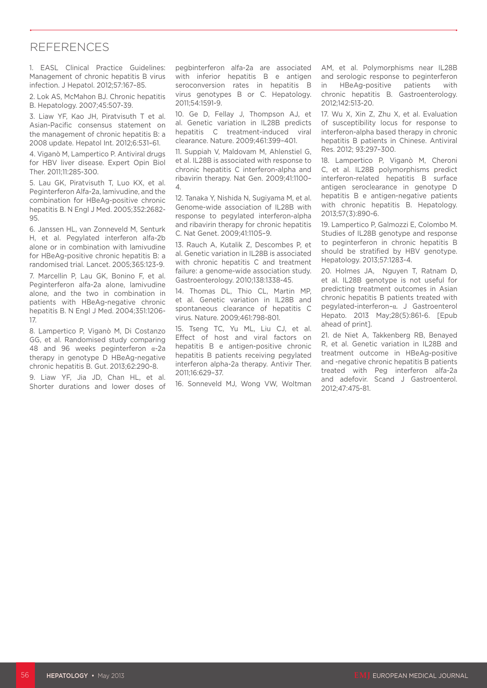#### **REFERENCES**

1. EASL Clinical Practice Guidelines: Management of chronic hepatitis B virus infection. J Hepatol. 2012;57:167–85.

2. Lok AS, McMahon BJ. Chronic hepatitis B. Hepatology. 2007;45:507-39.

3. Liaw YF, Kao JH, Piratvisuth T et al. Asian-Pacific consensus statement on the management of chronic hepatitis B: a 2008 update. Hepatol Int. 2012;6:531–61.

4. Viganò M, Lampertico P. Antiviral drugs for HBV liver disease. Expert Opin Biol Ther. 2011;11:285-300.

5. Lau GK, Piratvisuth T, Luo KX, et al. Peginterferon Alfa-2a, lamivudine, and the combination for HBeAg-positive chronic hepatitis B. N Engl J Med. 2005;352:2682- 95.

6. Janssen HL, van Zonneveld M, Senturk H, et al. Pegylated interferon alfa-2b alone or in combination with lamivudine for HBeAg-positive chronic hepatitis B: a randomised trial. Lancet. 2005;365:123-9.

7. Marcellin P, Lau GK, Bonino F, et al. Peginterferon alfa-2a alone, lamivudine alone, and the two in combination in patients with HBeAg-negative chronic hepatitis B. N Engl J Med. 2004;351:1206- 17.

8. Lampertico P, Viganò M, Di Costanzo GG, et al. Randomised study comparing 48 and 96 weeks peginterferon α-2a therapy in genotype D HBeAg-negative chronic hepatitis B. Gut. 2013;62:290-8.

9. Liaw YF, Jia JD, Chan HL, et al. Shorter durations and lower doses of pegbinterferon alfa-2a are associated with inferior hepatitis B e antigen seroconversion rates in hepatitis B virus genotypes B or C. Hepatology. 2011;54:1591-9.

10. Ge D, Fellay J, Thompson AJ, et al. Genetic variation in IL28B predicts hepatitis C treatment-induced viral clearance. Nature. 2009;461:399–401.

11. Suppiah V, Maldovam M, Ahlenstiel G, et al. IL28B is associated with response to chronic hepatitis C interferon-alpha and ribavirin therapy. Nat Gen. 2009;41:1100– 4.

12. Tanaka Y, Nishida N, Sugiyama M, et al. Genome-wide association of IL28B with response to pegylated interferon-alpha and ribavirin therapy for chronic hepatitis C. Nat Genet. 2009;41:1105–9.

13. Rauch A, Kutalik Z, Descombes P, et al. Genetic variation in IL28B is associated with chronic hepatitis C and treatment failure: a genome-wide association study. Gastroenterology. 2010;138:1338-45.

14. Thomas DL, Thio CL, Martin MP, et al. Genetic variation in IL28B and spontaneous clearance of hepatitis C virus. Nature. 2009;461:798-801.

15. Tseng TC, Yu ML, Liu CJ, et al. Effect of host and viral factors on hepatitis B e antigen-positive chronic hepatitis B patients receiving pegylated interferon alpha-2a therapy. Antivir Ther. 2011;16:629–37.

16. Sonneveld MJ, Wong VW, Woltman

AM, et al. Polymorphisms near IL28B and serologic response to peginterferon in HBeAg-positive patients with chronic hepatitis B. Gastroenterology. 2012;142:513-20.

17. Wu X, Xin Z, Zhu X, et al. Evaluation of susceptibility locus for response to interferon-alpha based therapy in chronic hepatitis B patients in Chinese. Antiviral Res. 2012; 93:297–300.

18. Lampertico P, Viganò M, Cheroni C, et al. IL28B polymorphisms predict interferon-related hepatitis B surface antigen seroclearance in genotype D hepatitis B e antigen-negative patients with chronic hepatitis B. Hepatology. 2013;57(3):890-6.

19. Lampertico P, Galmozzi E, Colombo M. Studies of IL28B genotype and response to peginterferon in chronic hepatitis B should be stratified by HBV genotype. Hepatology. 2013;57:1283-4.

20. Holmes JA, Nguyen T, Ratnam D, et al. IL28B genotype is not useful for predicting treatment outcomes in Asian chronic hepatitis B patients treated with pegylated-interferon–α. J Gastroenterol Hepato. 2013 May;28(5):861-6. [Epub ahead of print].

21. de Niet A, Takkenberg RB, Benayed R, et al. Genetic variation in IL28B and treatment outcome in HBeAg-positive and -negative chronic hepatitis B patients treated with Peg interferon alfa-2a and adefovir. Scand J Gastroenterol. 2012;47:475-81.